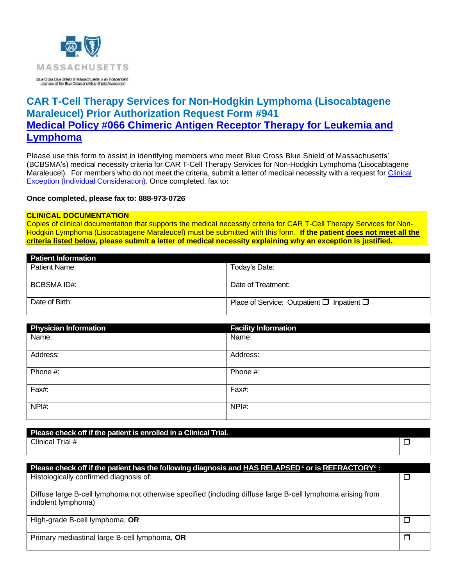

# **CAR T-Cell Therapy Services for Non-Hodgkin Lymphoma (Lisocabtagene Maraleucel) Prior Authorization Request Form #941 [Medical Policy #066 Chimeric Antigen Receptor Therapy for](https://www.bluecrossma.org/medical-policies/sites/g/files/csphws2091/files/acquiadam-assets/066%20Chimeric%20Antigen%20Receptor%20Therapy%20for%20Leukemia%20and%20Lymphoma.pdf) Leukemia and [Lymphoma](https://www.bluecrossma.org/medical-policies/sites/g/files/csphws2091/files/acquiadam-assets/066%20Chimeric%20Antigen%20Receptor%20Therapy%20for%20Leukemia%20and%20Lymphoma.pdf)**

Please use this form to assist in identifying members who meet Blue Cross Blue Shield of Massachusetts' (BCBSMA's) medical necessity criteria for CAR T-Cell Therapy Services for Non-Hodgkin Lymphoma (Lisocabtagene Maraleucel). For members who do not meet the criteria, submit a letter of medical necessity with a request for Clinical [Exception \(Individual Consideration\).](http://www.bluecrossma.org/medical-policies/sites/g/files/csphws2091/files/acquiadam-assets/Clinical_Exception_Process_prn.pdf) Once completed, fax to**:**

**Once completed, please fax to: 888-973-0726**

#### **CLINICAL DOCUMENTATION**

Copies of clinical documentation that supports the medical necessity criteria for CAR T-Cell Therapy Services for Non-Hodgkin Lymphoma (Lisocabtagene Maraleucel) must be submitted with this form. **If the patient does not meet all the criteria listed below, please submit a letter of medical necessity explaining why an exception is justified.**

| <b>Patient Information</b> |                                                      |
|----------------------------|------------------------------------------------------|
| Patient Name:              | Today's Date:                                        |
|                            |                                                      |
| BCBSMA ID#:                | Date of Treatment:                                   |
|                            |                                                      |
| Date of Birth:             | Place of Service: Outpatient $\Box$ Inpatient $\Box$ |
|                            |                                                      |

| <b>Physician Information</b> | <b>Facility Information</b> |
|------------------------------|-----------------------------|
| Name:                        | Name:                       |
| Address:                     | Address:                    |
| Phone #:                     | Phone #:                    |
| Fax#:                        | Fax#:                       |
| NPH:                         | NPI#:                       |

**Please check off if the patient is enrolled in a Clinical Trial.**

Clinical Trial #  $\Box$ 

| Please check off if the patient has the following diagnosis and HAS RELAPSED <sup>c</sup> or is REFRACTORY <sup>c</sup> :         |  |
|-----------------------------------------------------------------------------------------------------------------------------------|--|
| Histologically confirmed diagnosis of:                                                                                            |  |
| Diffuse large B-cell lymphoma not otherwise specified (including diffuse large B-cell lymphoma arising from<br>indolent lymphoma) |  |
| High-grade B-cell lymphoma, OR                                                                                                    |  |
| Primary mediastinal large B-cell lymphoma, OR                                                                                     |  |